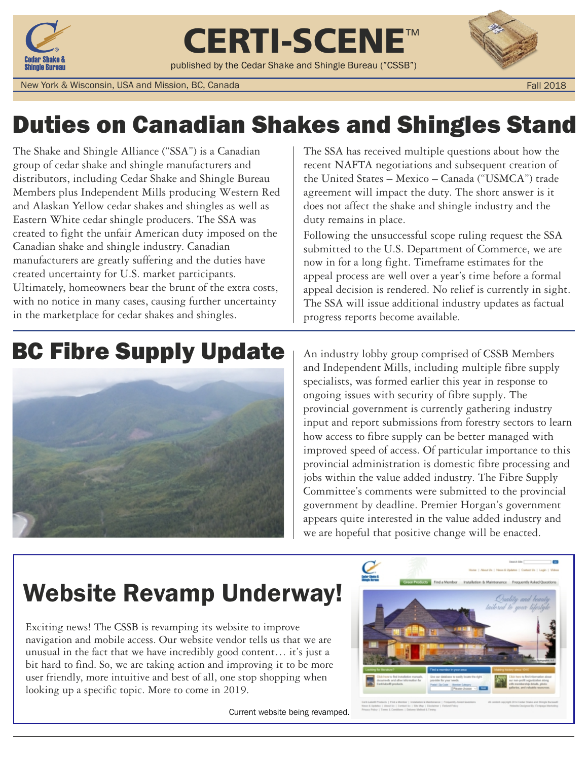

CERTI-SCENE™

published by the Cedar Shake and Shingle Bureau ("CSSB")



New York & Wisconsin, USA and Mission, BC, Canada

Fall 2018

### Duties on Canadian Shakes and Shingles Stand

The Shake and Shingle Alliance ("SSA") is a Canadian group of cedar shake and shingle manufacturers and distributors, including Cedar Shake and Shingle Bureau Members plus Independent Mills producing Western Red and Alaskan Yellow cedar shakes and shingles as well as Eastern White cedar shingle producers. The SSA was created to fight the unfair American duty imposed on the Canadian shake and shingle industry. Canadian manufacturers are greatly suffering and the duties have created uncertainty for U.S. market participants. Ultimately, homeowners bear the brunt of the extra costs, with no notice in many cases, causing further uncertainty in the marketplace for cedar shakes and shingles.

The SSA has received multiple questions about how the recent NAFTA negotiations and subsequent creation of the United States – Mexico – Canada ("USMCA") trade agreement will impact the duty. The short answer is it does not affect the shake and shingle industry and the duty remains in place.

Following the unsuccessful scope ruling request the SSA submitted to the U.S. Department of Commerce, we are now in for a long fight. Timeframe estimates for the appeal process are well over a year's time before a formal appeal decision is rendered. No relief is currently in sight. The SSA will issue additional industry updates as factual progress reports become available.

### BC Fibre Supply Update | An industry lobby group comprised of CSSB Members



and Independent Mills, including multiple fibre supply specialists, was formed earlier this year in response to ongoing issues with security of fibre supply. The provincial government is currently gathering industry input and report submissions from forestry sectors to learn how access to fibre supply can be better managed with improved speed of access. Of particular importance to this provincial administration is domestic fibre processing and jobs within the value added industry. The Fibre Supply Committee's comments were submitted to the provincial government by deadline. Premier Horgan's government appears quite interested in the value added industry and we are hopeful that positive change will be enacted.

### Website Revamp Underway!

Exciting news! The CSSB is revamping its website to improve navigation and mobile access. Our website vendor tells us that we are unusual in the fact that we have incredibly good content… it's just a bit hard to find. So, we are taking action and improving it to be more user friendly, more intuitive and best of all, one stop shopping when looking up a specific topic. More to come in 2019.

Current website being revamped.

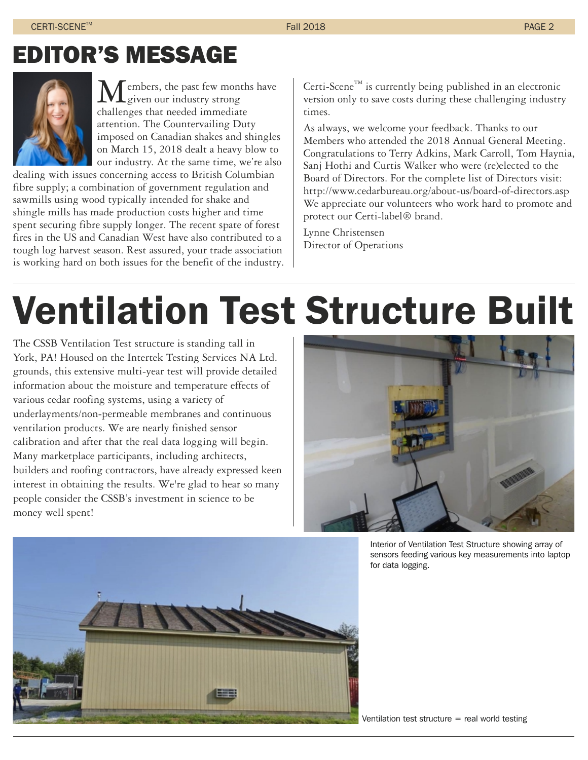### EDITOR'S MESSAGE



embers, the past few months have  $\mathbf{L}$ given our industry strong challenges that needed immediate attention. The Countervailing Duty imposed on Canadian shakes and shingles on March 15, 2018 dealt a heavy blow to our industry. At the same time, we're also

dealing with issues concerning access to British Columbian fibre supply; a combination of government regulation and sawmills using wood typically intended for shake and shingle mills has made production costs higher and time spent securing fibre supply longer. The recent spate of forest fires in the US and Canadian West have also contributed to a tough log harvest season. Rest assured, your trade association is working hard on both issues for the benefit of the industry. Certi-Scene<sup>TM</sup> is currently being published in an electronic version only to save costs during these challenging industry times.

As always, we welcome your feedback. Thanks to our Members who attended the 2018 Annual General Meeting. Congratulations to Terry Adkins, Mark Carroll, Tom Haynia, Sanj Hothi and Curtis Walker who were (re)elected to the Board of Directors. For the complete list of Directors visit: http://www.cedarbureau.org/about-us/board-of-directors.asp We appreciate our volunteers who work hard to promote and protect our Certi-label® brand.

Lynne Christensen Director of Operations

# Ventilation Test Structure Built

The CSSB Ventilation Test structure is standing tall in York, PA! Housed on the Intertek Testing Services NA Ltd. grounds, this extensive multi-year test will provide detailed information about the moisture and temperature effects of various cedar roofing systems, using a variety of underlayments/non-permeable membranes and continuous ventilation products. We are nearly finished sensor calibration and after that the real data logging will begin. Many marketplace participants, including architects, builders and roofing contractors, have already expressed keen interest in obtaining the results. We're glad to hear so many people consider the CSSB's investment in science to be money well spent!



Interior of Ventilation Test Structure showing array of sensors feeding various key measurements into laptop for data logging.

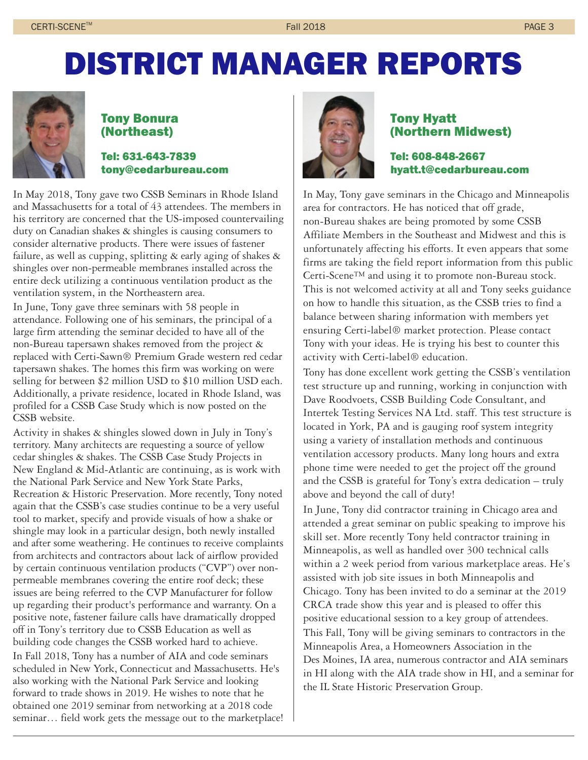## DISTRICT MANAGER REPORTS



#### Tony Bonura (Northeast)

#### Tel: 631-643-7839 tony@cedarbureau.com

In May 2018, Tony gave two CSSB Seminars in Rhode Island and Massachusetts for a total of 43 attendees. The members in his territory are concerned that the US-imposed countervailing duty on Canadian shakes & shingles is causing consumers to consider alternative products. There were issues of fastener failure, as well as cupping, splitting & early aging of shakes & shingles over non-permeable membranes installed across the entire deck utilizing a continuous ventilation product as the ventilation system, in the Northeastern area.

In June, Tony gave three seminars with 58 people in attendance. Following one of his seminars, the principal of a large firm attending the seminar decided to have all of the non-Bureau tapersawn shakes removed from the project & replaced with Certi-Sawn® Premium Grade western red cedar tapersawn shakes. The homes this firm was working on were selling for between \$2 million USD to \$10 million USD each. Additionally, a private residence, located in Rhode Island, was profiled for a CSSB Case Study which is now posted on the CSSB website.

Activity in shakes & shingles slowed down in July in Tony's territory. Many architects are requesting a source of yellow cedar shingles & shakes. The CSSB Case Study Projects in New England & Mid-Atlantic are continuing, as is work with the National Park Service and New York State Parks, Recreation & Historic Preservation. More recently, Tony noted again that the CSSB's case studies continue to be a very useful tool to market, specify and provide visuals of how a shake or shingle may look in a particular design, both newly installed and after some weathering. He continues to receive complaints from architects and contractors about lack of airflow provided by certain continuous ventilation products ("CVP") over nonpermeable membranes covering the entire roof deck; these issues are being referred to the CVP Manufacturer for follow up regarding their product's performance and warranty. On a positive note, fastener failure calls have dramatically dropped off in Tony's territory due to CSSB Education as well as building code changes the CSSB worked hard to achieve. In Fall 2018, Tony has a number of AIA and code seminars scheduled in New York, Connecticut and Massachusetts. He's also working with the National Park Service and looking forward to trade shows in 2019. He wishes to note that he obtained one 2019 seminar from networking at a 2018 code seminar… field work gets the message out to the marketplace!



#### Tony Hyatt (Northern Midwest)

Tel: 608-848-2667 hyatt.t@cedarbureau.com

In May, Tony gave seminars in the Chicago and Minneapolis area for contractors. He has noticed that off grade, non-Bureau shakes are being promoted by some CSSB Affiliate Members in the Southeast and Midwest and this is unfortunately affecting his efforts. It even appears that some firms are taking the field report information from this public Certi-Scene™ and using it to promote non-Bureau stock. This is not welcomed activity at all and Tony seeks guidance on how to handle this situation, as the CSSB tries to find a balance between sharing information with members yet ensuring Certi-label® market protection. Please contact Tony with your ideas. He is trying his best to counter this activity with Certi-label® education.

Tony has done excellent work getting the CSSB's ventilation test structure up and running, working in conjunction with Dave Roodvoets, CSSB Building Code Consultant, and Intertek Testing Services NA Ltd. staff. This test structure is located in York, PA and is gauging roof system integrity using a variety of installation methods and continuous ventilation accessory products. Many long hours and extra phone time were needed to get the project off the ground and the CSSB is grateful for Tony's extra dedication – truly above and beyond the call of duty!

In June, Tony did contractor training in Chicago area and attended a great seminar on public speaking to improve his skill set. More recently Tony held contractor training in Minneapolis, as well as handled over 300 technical calls within a 2 week period from various marketplace areas. He's assisted with job site issues in both Minneapolis and Chicago. Tony has been invited to do a seminar at the 2019 CRCA trade show this year and is pleased to offer this positive educational session to a key group of attendees. This Fall, Tony will be giving seminars to contractors in the Minneapolis Area, a Homeowners Association in the Des Moines, IA area, numerous contractor and AIA seminars in HI along with the AIA trade show in HI, and a seminar for the IL State Historic Preservation Group.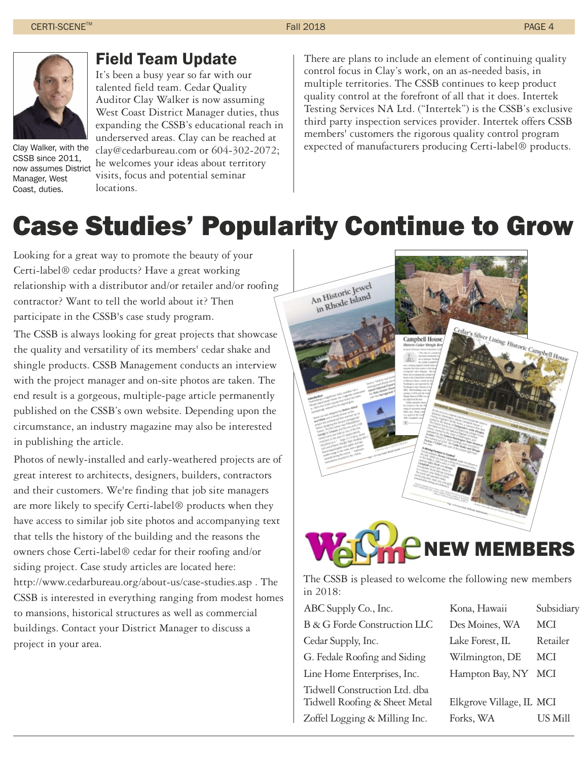

CSSB since 2011, now assumes District Manager, West Coast, duties.

#### Field Team Update

It's been a busy year so far with our talented field team. Cedar Quality Auditor Clay Walker is now assuming West Coast District Manager duties, thus expanding the CSSB's educational reach in underserved areas. Clay can be reached at clay@cedarbureau.com or 604-302-2072; he welcomes your ideas about territory visits, focus and potential seminar

There are plans to include an element of continuing quality control focus in Clay's work, on an as-needed basis, in multiple territories. The CSSB continues to keep product quality control at the forefront of all that it does. Intertek Testing Services NA Ltd. ("Intertek") is the CSSB's exclusive third party inspection services provider. Intertek offers CSSB members' customers the rigorous quality control program expected of manufacturers producing Certi-label® products.

### Case Studies' Popularity Continue to Grow

Looking for a great way to promote the beauty of your Certi-label® cedar products? Have a great working relationship with a distributor and/or retailer and/or roofing contractor? Want to tell the world about it? Then participate in the CSSB's case study program.

locations.

The CSSB is always looking for great projects that showcase the quality and versatility of its members' cedar shake and shingle products. CSSB Management conducts an interview with the project manager and on-site photos are taken. The end result is a gorgeous, multiple-page article permanently published on the CSSB's own website. Depending upon the circumstance, an industry magazine may also be interested in publishing the article.

Photos of newly-installed and early-weathered projects are of great interest to architects, designers, builders, contractors and their customers. We're finding that job site managers are more likely to specify Certi-label® products when they have access to similar job site photos and accompanying text that tells the history of the building and the reasons the owners chose Certi-label® cedar for their roofing and/or siding project. Case study articles are located here: http://www.cedarbureau.org/about-us/case-studies.asp . The CSSB is interested in everything ranging from modest homes to mansions, historical structures as well as commercial buildings. Contact your District Manager to discuss a project in your area.



The CSSB is pleased to welcome the following new members in 2018:

| ABC Supply Co., Inc.                                                                            | Kona, Hawaii                          | Subsidiary |
|-------------------------------------------------------------------------------------------------|---------------------------------------|------------|
| B & G Forde Construction LLC                                                                    | Des Moines, WA                        | <b>MCI</b> |
| Cedar Supply, Inc.                                                                              | Lake Forest, IL                       | Retailer   |
| G. Fedale Roofing and Siding                                                                    | Wilmington, DE                        | <b>MCI</b> |
| Line Home Enterprises, Inc.                                                                     | Hampton Bay, NY                       | MCI        |
| Tidwell Construction Ltd. dba<br>Tidwell Roofing & Sheet Metal<br>Zoffel Logging & Milling Inc. | Elkgrove Village, IL MCI<br>Forks, WA | US Mill    |
|                                                                                                 |                                       |            |